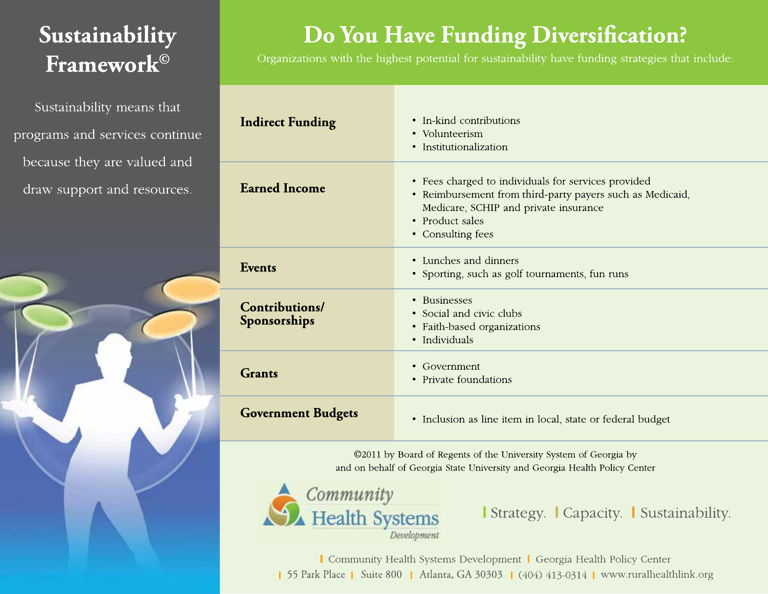## Sustainability Framework<sup>®</sup>

Sustainability means that programs and services continue because they are valued and draw support and resources.

Do You Have Funding Diversification?

Organizations with the highest potential for sustainability have funding strategies that include:

| <b>Indirect Funding</b>               | • In-kind contributions<br>• Volunteerism<br>• Institutionalization                                                                                                                               |
|---------------------------------------|---------------------------------------------------------------------------------------------------------------------------------------------------------------------------------------------------|
| <b>Earned Income</b>                  | • Fees charged to individuals for services provided<br>• Reimbursement from third-party payers such as Medicaid,<br>Medicare, SCHIP and private insurance<br>• Product sales<br>• Consulting fees |
| Events                                | • Lunches and dinners<br>• Sporting, such as golf tournaments, fun runs                                                                                                                           |
| <b>Contributions/</b><br>Sponsorships | • Businesses<br>• Social and civic clubs<br>• Faith-based organizations<br>• Individuals                                                                                                          |
| <b>Grants</b>                         | • Government<br>• Private foundations                                                                                                                                                             |
| <b>Government Budgets</b>             | • Inclusion as line item in local, state or federal budget                                                                                                                                        |

©2011 by Board of Regents of the University System of Georgia by and on behalf of Georgia State University and Georgia Health Policy Center



I Strategy. I Capacity. I Sustainability.

Community Health Systems Development | Georgia Health Policy Center 55 Park Place | Suite 800 | Atlanta, GA 30303 | (404) 413-0314 | www.ruralhealthlink.org